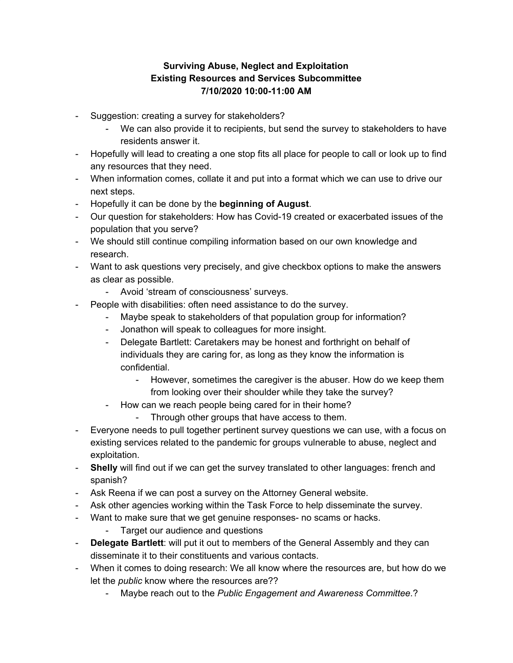## **Surviving Abuse, Neglect and Exploitation Existing Resources and Services Subcommittee 7/10/2020 10:00-11:00 AM**

- Suggestion: creating a survey for stakeholders?
	- We can also provide it to recipients, but send the survey to stakeholders to have residents answer it.
- Hopefully will lead to creating a one stop fits all place for people to call or look up to find any resources that they need.
- When information comes, collate it and put into a format which we can use to drive our next steps.
- Hopefully it can be done by the **beginning of August**.
- Our question for stakeholders: How has Covid-19 created or exacerbated issues of the population that you serve?
- We should still continue compiling information based on our own knowledge and research.
- Want to ask questions very precisely, and give checkbox options to make the answers as clear as possible.
	- Avoid 'stream of consciousness' surveys.
- People with disabilities: often need assistance to do the survey.
	- Maybe speak to stakeholders of that population group for information?
	- Jonathon will speak to colleagues for more insight.
	- Delegate Bartlett: Caretakers may be honest and forthright on behalf of individuals they are caring for, as long as they know the information is confidential.
		- However, sometimes the caregiver is the abuser. How do we keep them from looking over their shoulder while they take the survey?
	- How can we reach people being cared for in their home?
		- Through other groups that have access to them.
- Everyone needs to pull together pertinent survey questions we can use, with a focus on existing services related to the pandemic for groups vulnerable to abuse, neglect and exploitation.
- **Shelly** will find out if we can get the survey translated to other languages: french and spanish?
- Ask Reena if we can post a survey on the Attorney General website.
- Ask other agencies working within the Task Force to help disseminate the survey.
- Want to make sure that we get genuine responses- no scams or hacks.
	- Target our audience and questions
- **Delegate Bartlett**: will put it out to members of the General Assembly and they can disseminate it to their constituents and various contacts.
- When it comes to doing research: We all know where the resources are, but how do we let the *public* know where the resources are??
	- Maybe reach out to the *Public Engagement and Awareness Committee*.?